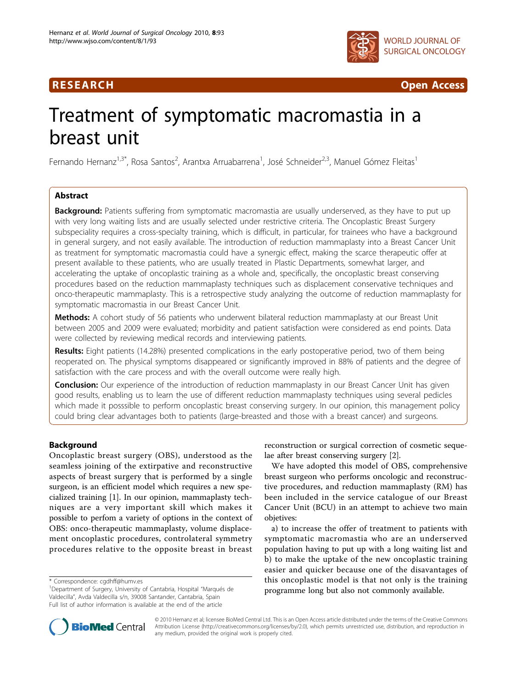

R E S EARCH Open Access

# Treatment of symptomatic macromastia in a breast unit

Fernando Hernanz<sup>1,3\*</sup>, Rosa Santos<sup>2</sup>, Arantxa Arruabarrena<sup>1</sup>, José Schneider<sup>2,3</sup>, Manuel Gómez Fleitas<sup>1</sup>

# Abstract

**Background:** Patients suffering from symptomatic macromastia are usually underserved, as they have to put up with very long waiting lists and are usually selected under restrictive criteria. The Oncoplastic Breast Surgery subspeciality requires a cross-specialty training, which is difficult, in particular, for trainees who have a background in general surgery, and not easily available. The introduction of reduction mammaplasty into a Breast Cancer Unit as treatment for symptomatic macromastia could have a synergic effect, making the scarce therapeutic offer at present available to these patients, who are usually treated in Plastic Departments, somewhat larger, and accelerating the uptake of oncoplastic training as a whole and, specifically, the oncoplastic breast conserving procedures based on the reduction mammaplasty techniques such as displacement conservative techniques and onco-therapeutic mammaplasty. This is a retrospective study analyzing the outcome of reduction mammaplasty for symptomatic macromastia in our Breast Cancer Unit.

Methods: A cohort study of 56 patients who underwent bilateral reduction mammaplasty at our Breast Unit between 2005 and 2009 were evaluated; morbidity and patient satisfaction were considered as end points. Data were collected by reviewing medical records and interviewing patients.

Results: Eight patients (14.28%) presented complications in the early postoperative period, two of them being reoperated on. The physical symptoms disappeared or significantly improved in 88% of patients and the degree of satisfaction with the care process and with the overall outcome were really high.

Conclusion: Our experience of the introduction of reduction mammaplasty in our Breast Cancer Unit has given good results, enabling us to learn the use of different reduction mammaplasty techniques using several pedicles which made it posssible to perform oncoplastic breast conserving surgery. In our opinion, this management policy could bring clear advantages both to patients (large-breasted and those with a breast cancer) and surgeons.

# Background

Oncoplastic breast surgery (OBS), understood as the seamless joining of the extirpative and reconstructive aspects of breast surgery that is performed by a single surgeon, is an efficient model which requires a new specialized training [\[1](#page-5-0)]. In our opinion, mammaplasty techniques are a very important skill which makes it possible to perfom a variety of options in the context of OBS: onco-therapeutic mammaplasty, volume displacement oncoplastic procedures, controlateral symmetry procedures relative to the opposite breast in breast reconstruction or surgical correction of cosmetic sequelae after breast conserving surgery [[2\]](#page-5-0).

We have adopted this model of OBS, comprehensive breast surgeon who performs oncologic and reconstructive procedures, and reduction mammaplasty (RM) has been included in the service catalogue of our Breast Cancer Unit (BCU) in an attempt to achieve two main objetives:

a) to increase the offer of treatment to patients with symptomatic macromastia who are an underserved population having to put up with a long waiting list and b) to make the uptake of the new oncoplastic training easier and quicker because one of the disavantages of this oncoplastic model is that not only is the training programme long but also not commonly available.



© 2010 Hernanz et al; licensee BioMed Central Ltd. This is an Open Access article distributed under the terms of the Creative Commons Attribution License [\(http://creativecommons.org/licenses/by/2.0](http://creativecommons.org/licenses/by/2.0)), which permits unrestricted use, distribution, and reproduction in any medium, provided the original work is properly cited.

<sup>\*</sup> Correspondence: [cgdhff@humv.es](mailto:cgdhff@humv.es)

<sup>&</sup>lt;sup>1</sup>Department of Surgery, University of Cantabria, Hospital "Marqués de Valdecilla", Avda Valdecilla s/n, 39008 Santander, Cantabria, Spain Full list of author information is available at the end of the article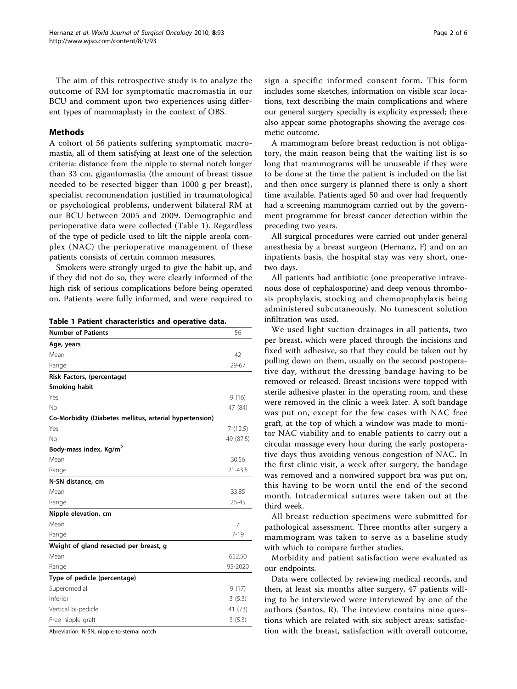The aim of this retrospective study is to analyze the outcome of RM for symptomatic macromastia in our BCU and comment upon two experiences using different types of mammaplasty in the context of OBS.

### Methods

A cohort of 56 patients suffering symptomatic macromastia, all of them satisfying at least one of the selection criteria: distance from the nipple to sternal notch longer than 33 cm, gigantomastia (the amount of breast tissue needed to be resected bigger than 1000 g per breast), specialist recommendation justified in traumatological or psychological problems, underwent bilateral RM at our BCU between 2005 and 2009. Demographic and perioperative data were collected (Table 1). Regardless of the type of pedicle used to lift the nipple areola complex (NAC) the perioperative management of these patients consists of certain common measures.

Smokers were strongly urged to give the habit up, and if they did not do so, they were clearly informed of the high risk of serious complications before being operated on. Patients were fully informed, and were required to

Table 1 Patient characteristics and operative data.

| <b>Number of Patients</b>                               | 56        |
|---------------------------------------------------------|-----------|
| Age, years                                              |           |
| Mean                                                    | 42        |
| Range                                                   | 29-67     |
| Risk Factors, (percentage)                              |           |
| Smoking habit                                           |           |
| Yes                                                     | 9(16)     |
| No                                                      | 47 (84)   |
| Co-Morbidity (Diabetes mellitus, arterial hypertension) |           |
| Yes                                                     | 7(12.5)   |
| No                                                      | 49 (87.5) |
| Body-mass index, Kg/m <sup>2</sup>                      |           |
| Mean                                                    | 30.56     |
| Range                                                   | 21-43.5   |
| N-SN distance, cm                                       |           |
| Mean                                                    | 33.85     |
| Range                                                   | 26-45     |
| Nipple elevation, cm                                    |           |
| Mean                                                    | 7         |
| Range                                                   | $7 - 19$  |
| Weight of gland resected per breast, g                  |           |
| Mean                                                    | 652.50    |
| Range                                                   | 95-2020   |
| Type of pedicle (percentage)                            |           |
| Superomedial                                            | 9(17)     |
| Inferior                                                | 3(5.3)    |
| Vertical bi-pedicle                                     | 41 (73)   |
| Free nipple graft                                       | 3(5.3)    |

Abreviation: N-SN, nipple-to-sternal notch

sign a specific informed consent form. This form includes some sketches, information on visible scar locations, text describing the main complications and where our general surgery specialty is explicity expressed; there also appear some photographs showing the average cosmetic outcome.

A mammogram before breast reduction is not obligatory, the main reason being that the waiting list is so long that mammograms will be unuseable if they were to be done at the time the patient is included on the list and then once surgery is planned there is only a short time available. Patients aged 50 and over had frequently had a screening mammogram carried out by the government programme for breast cancer detection within the preceding two years.

All surgical procedures were carried out under general anesthesia by a breast surgeon (Hernanz, F) and on an inpatients basis, the hospital stay was very short, onetwo days.

All patients had antibiotic (one preoperative intravenous dose of cephalosporine) and deep venous thrombosis prophylaxis, stocking and chemoprophylaxis being administered subcutaneously. No tumescent solution infiltration was used.

We used light suction drainages in all patients, two per breast, which were placed through the incisions and fixed with adhesive, so that they could be taken out by pulling down on them, usually on the second postoperative day, without the dressing bandage having to be removed or released. Breast incisions were topped with sterile adhesive plaster in the operating room, and these were removed in the clinic a week later. A soft bandage was put on, except for the few cases with NAC free graft, at the top of which a window was made to monitor NAC viability and to enable patients to carry out a circular massage every hour during the early postoperative days thus avoiding venous congestion of NAC. In the first clinic visit, a week after surgery, the bandage was removed and a nonwired support bra was put on, this having to be worn until the end of the second month. Intradermical sutures were taken out at the third week.

All breast reduction specimens were submitted for pathological assessment. Three months after surgery a mammogram was taken to serve as a baseline study with which to compare further studies.

Morbidity and patient satisfaction were evaluated as our endpoints.

Data were collected by reviewing medical records, and then, at least six months after surgery, 47 patients willing to be interviewed were interviewed by one of the authors (Santos, R). The inteview contains nine questions which are related with six subject areas: satisfaction with the breast, satisfaction with overall outcome,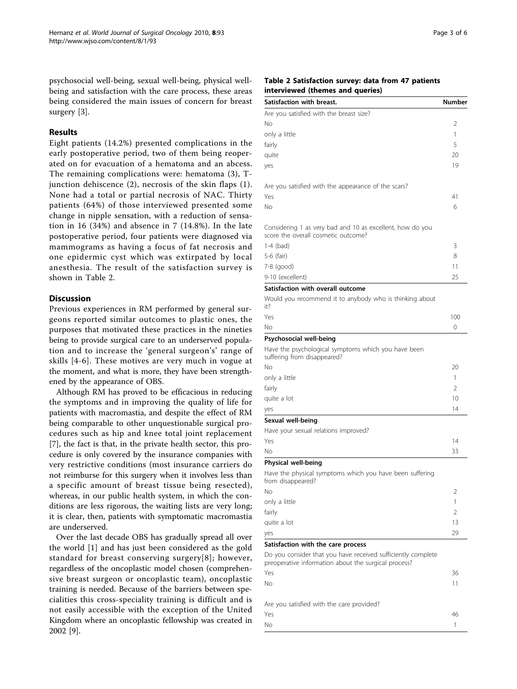psychosocial well-being, sexual well-being, physical wellbeing and satisfaction with the care process, these areas being considered the main issues of concern for breast surgery [[3\]](#page-5-0).

# Results

Eight patients (14.2%) presented complications in the early postoperative period, two of them being reoperated on for evacuation of a hematoma and an abcess. The remaining complications were: hematoma (3), Tjunction dehiscence (2), necrosis of the skin flaps (1). None had a total or partial necrosis of NAC. Thirty patients (64%) of those interviewed presented some change in nipple sensation, with a reduction of sensation in 16 (34%) and absence in 7 (14.8%). In the late postoperative period, four patients were diagnosed via mammograms as having a focus of fat necrosis and one epidermic cyst which was extirpated by local anesthesia. The result of the satisfaction survey is shown in Table 2.

# **Discussion**

Previous experiences in RM performed by general surgeons reported similar outcomes to plastic ones, the purposes that motivated these practices in the nineties being to provide surgical care to an underserved population and to increase the 'general surgeon's' range of skills [\[4-6\]](#page-5-0). These motives are very much in vogue at the moment, and what is more, they have been strengthened by the appearance of OBS.

Although RM has proved to be efficacious in reducing the symptoms and in improving the quality of life for patients with macromastia, and despite the effect of RM being comparable to other unquestionable surgical procedures such as hip and knee total joint replacement [[7\]](#page-5-0), the fact is that, in the private health sector, this procedure is only covered by the insurance companies with very restrictive conditions (most insurance carriers do not reimburse for this surgery when it involves less than a specific amount of breast tissue being resected), whereas, in our public health system, in which the conditions are less rigorous, the waiting lists are very long; it is clear, then, patients with symptomatic macromastia are underserved.

Over the last decade OBS has gradually spread all over the world [\[1](#page-5-0)] and has just been considered as the gold standard for breast conserving surgery[[8](#page-5-0)]; however, regardless of the oncoplastic model chosen (comprehensive breast surgeon or oncoplastic team), oncoplastic training is needed. Because of the barriers between specialities this cross-speciality training is difficult and is not easily accessible with the exception of the United Kingdom where an oncoplastic fellowship was created in 2002 [[9](#page-5-0)].

# Table 2 Satisfaction survey: data from 47 patients interviewed (themes and queries)

| Satisfaction with breast.                                                                        | <b>Number</b>  |
|--------------------------------------------------------------------------------------------------|----------------|
| Are you satisfied with the breast size?                                                          |                |
| No                                                                                               | $\mathfrak{D}$ |
| only a little                                                                                    | 1              |
| fairly                                                                                           | 5              |
| quite                                                                                            | 20             |
| yes                                                                                              | 19             |
| Are you satisfied with the appearance of the scars?                                              |                |
| Yes                                                                                              | 41             |
| No                                                                                               | 6              |
| Considering 1 as very bad and 10 as excellent, how do you<br>score the overall cosmetic outcome? |                |
| $1-4$ (bad)                                                                                      | 3              |
| 5-6 (fair)                                                                                       | 8              |
| 7-8 (good)                                                                                       | 11             |
| 9-10 (excellent)                                                                                 | 25             |

#### Satisfaction with overall outcome

Would you recommend it to anybody who is thinking about it?

| it?                                                                                                                  |               |
|----------------------------------------------------------------------------------------------------------------------|---------------|
| Yes                                                                                                                  | 100           |
| Nο                                                                                                                   | 0             |
| Psychosocial well-being                                                                                              |               |
| Have the psychological symptoms which you have been<br>suffering from disappeared?                                   |               |
| Nο                                                                                                                   | 20            |
| only a little                                                                                                        | 1             |
| fairly                                                                                                               | 2             |
| quite a lot                                                                                                          | 10            |
| yes                                                                                                                  | 14            |
| Sexual well-being                                                                                                    |               |
| Have your sexual relations improved?                                                                                 |               |
| Yes                                                                                                                  | 14            |
| Nο                                                                                                                   | 33            |
| Physical well-being                                                                                                  |               |
| Have the physical symptoms which you have been suffering<br>from disappeared?                                        |               |
| Nο                                                                                                                   | $\mathcal{P}$ |
| only a little                                                                                                        | 1             |
| fairly                                                                                                               | 2             |
| quite a lot                                                                                                          | 13            |
| yes                                                                                                                  | 29            |
| Satisfaction with the care process                                                                                   |               |
| Do you consider that you have received sufficiently complete<br>preoperative information about the surgical process? |               |
| Yes                                                                                                                  | 36            |
| Νo                                                                                                                   | 11            |
| Are you satisfied with the care provided?                                                                            |               |
| Yes                                                                                                                  | 46            |
| Νo                                                                                                                   | 1             |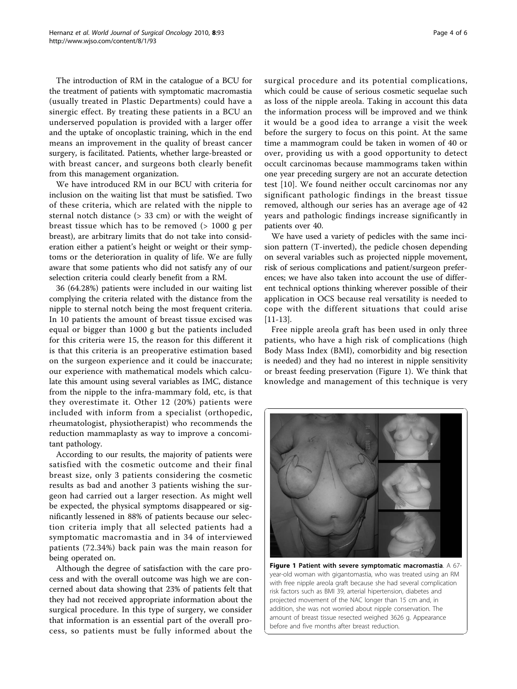The introduction of RM in the catalogue of a BCU for the treatment of patients with symptomatic macromastia (usually treated in Plastic Departments) could have a sinergic effect. By treating these patients in a BCU an underserved population is provided with a larger offer and the uptake of oncoplastic training, which in the end means an improvement in the quality of breast cancer surgery, is facilitated. Patients, whether large-breasted or with breast cancer, and surgeons both clearly benefit from this management organization.

We have introduced RM in our BCU with criteria for inclusion on the waiting list that must be satisfied. Two of these criteria, which are related with the nipple to sternal notch distance (> 33 cm) or with the weight of breast tissue which has to be removed  $(>1000 \text{ g per})$ breast), are arbitrary limits that do not take into consideration either a patient's height or weight or their symptoms or the deterioration in quality of life. We are fully aware that some patients who did not satisfy any of our selection criteria could clearly benefit from a RM.

36 (64.28%) patients were included in our waiting list complying the criteria related with the distance from the nipple to sternal notch being the most frequent criteria. In 10 patients the amount of breast tissue excised was equal or bigger than 1000 g but the patients included for this criteria were 15, the reason for this different it is that this criteria is an preoperative estimation based on the surgeon experience and it could be inaccurate; our experience with mathematical models which calculate this amount using several variables as IMC, distance from the nipple to the infra-mammary fold, etc, is that they overestimate it. Other 12 (20%) patients were included with inform from a specialist (orthopedic, rheumatologist, physiotherapist) who recommends the reduction mammaplasty as way to improve a concomitant pathology.

According to our results, the majority of patients were satisfied with the cosmetic outcome and their final breast size, only 3 patients considering the cosmetic results as bad and another 3 patients wishing the surgeon had carried out a larger resection. As might well be expected, the physical symptoms disappeared or significantly lessened in 88% of patients because our selection criteria imply that all selected patients had a symptomatic macromastia and in 34 of interviewed patients (72.34%) back pain was the main reason for being operated on.

Although the degree of satisfaction with the care process and with the overall outcome was high we are concerned about data showing that 23% of patients felt that they had not received appropriate information about the surgical procedure. In this type of surgery, we consider that information is an essential part of the overall process, so patients must be fully informed about the surgical procedure and its potential complications, which could be cause of serious cosmetic sequelae such as loss of the nipple areola. Taking in account this data the information process will be improved and we think it would be a good idea to arrange a visit the week before the surgery to focus on this point. At the same time a mammogram could be taken in women of 40 or over, providing us with a good opportunity to detect occult carcinomas because mammograms taken within one year preceding surgery are not an accurate detection test [[10\]](#page-5-0). We found neither occult carcinomas nor any significant pathologic findings in the breast tissue removed, although our series has an average age of 42 years and pathologic findings increase significantly in patients over 40.

We have used a variety of pedicles with the same incision pattern (T-inverted), the pedicle chosen depending on several variables such as projected nipple movement, risk of serious complications and patient/surgeon preferences; we have also taken into account the use of different technical options thinking wherever possible of their application in OCS because real versatility is needed to cope with the different situations that could arise [[11-13\]](#page-5-0).

Free nipple areola graft has been used in only three patients, who have a high risk of complications (high Body Mass Index (BMI), comorbidity and big resection is needed) and they had no interest in nipple sensitivity or breast feeding preservation (Figure 1). We think that knowledge and management of this technique is very

Figure 1 Patient with severe symptomatic macromastia. A 67year-old woman with gigantomastia, who was treated using an RM with free nipple areola graft because she had several complication risk factors such as BMI 39, arterial hipertension, diabetes and projected movement of the NAC longer than 15 cm and, in addition, she was not worried about nipple conservation. The amount of breast tissue resected weighed 3626 g. Appearance before and five months after breast reduction.

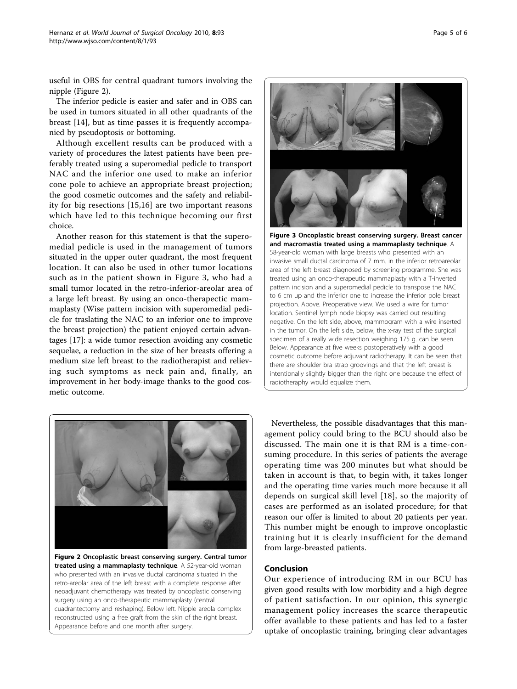useful in OBS for central quadrant tumors involving the nipple (Figure 2).

The inferior pedicle is easier and safer and in OBS can be used in tumors situated in all other quadrants of the breast [\[14](#page-5-0)], but as time passes it is frequently accompanied by pseudoptosis or bottoming.

Although excellent results can be produced with a variety of procedures the latest patients have been preferably treated using a superomedial pedicle to transport NAC and the inferior one used to make an inferior cone pole to achieve an appropriate breast projection; the good cosmetic outcomes and the safety and reliability for big resections [\[15](#page-5-0),[16\]](#page-5-0) are two important reasons which have led to this technique becoming our first choice.

Another reason for this statement is that the superomedial pedicle is used in the management of tumors situated in the upper outer quadrant, the most frequent location. It can also be used in other tumor locations such as in the patient shown in Figure 3, who had a small tumor located in the retro-inferior-areolar area of a large left breast. By using an onco-therapectic mammaplasty (Wise pattern incision with superomedial pedicle for traslating the NAC to an inferior one to improve the breast projection) the patient enjoyed certain advantages [\[17](#page-5-0)]: a wide tumor resection avoiding any cosmetic sequelae, a reduction in the size of her breasts offering a medium size left breast to the radiotherapist and relieving such symptoms as neck pain and, finally, an improvement in her body-image thanks to the good cosmetic outcome.

Figure 3 Oncoplastic breast conserving surgery. Breast cancer and macromastia treated using a mammaplasty technique. A 58-year-old woman with large breasts who presented with an invasive small ductal carcinoma of 7 mm. in the inferior retroareolar

area of the left breast diagnosed by screening programme. She was treated using an onco-therapeutic mammaplasty with a T-inverted pattern incision and a superomedial pedicle to transpose the NAC to 6 cm up and the inferior one to increase the inferior pole breast projection. Above. Preoperative view. We used a wire for tumor location. Sentinel lymph node biopsy was carried out resulting negative. On the left side, above, mammogram with a wire inserted in the tumor. On the left side, below, the x-ray test of the surgical specimen of a really wide resection weighing 175 g. can be seen. Below. Appearance at five weeks postoperatively with a good cosmetic outcome before adjuvant radiotherapy. It can be seen that there are shoulder bra strap groovings and that the left breast is intentionally slightly bigger than the right one because the effect of radiotheraphy would equalize them.



Figure 2 Oncoplastic breast conserving surgery. Central tumor treated using a mammaplasty technique. A 52-year-old woman who presented with an invasive ductal carcinoma situated in the retro-areolar area of the left breast with a complete response after neoadjuvant chemotherapy was treated by oncoplastic conserving surgery using an onco-therapeutic mammaplasty (central cuadrantectomy and reshaping). Below left. Nipple areola complex reconstructed using a free graft from the skin of the right breast. Appearance before and one month after surgery.

Nevertheless, the possible disadvantages that this management policy could bring to the BCU should also be discussed. The main one it is that RM is a time-consuming procedure. In this series of patients the average operating time was 200 minutes but what should be taken in account is that, to begin with, it takes longer and the operating time varies much more because it all depends on surgical skill level [[18](#page-5-0)], so the majority of cases are performed as an isolated procedure; for that reason our offer is limited to about 20 patients per year. This number might be enough to improve oncoplastic training but it is clearly insufficient for the demand from large-breasted patients.

# Conclusion

Our experience of introducing RM in our BCU has given good results with low morbidity and a high degree of patient satisfaction. In our opinion, this synergic management policy increases the scarce therapeutic offer available to these patients and has led to a faster uptake of oncoplastic training, bringing clear advantages